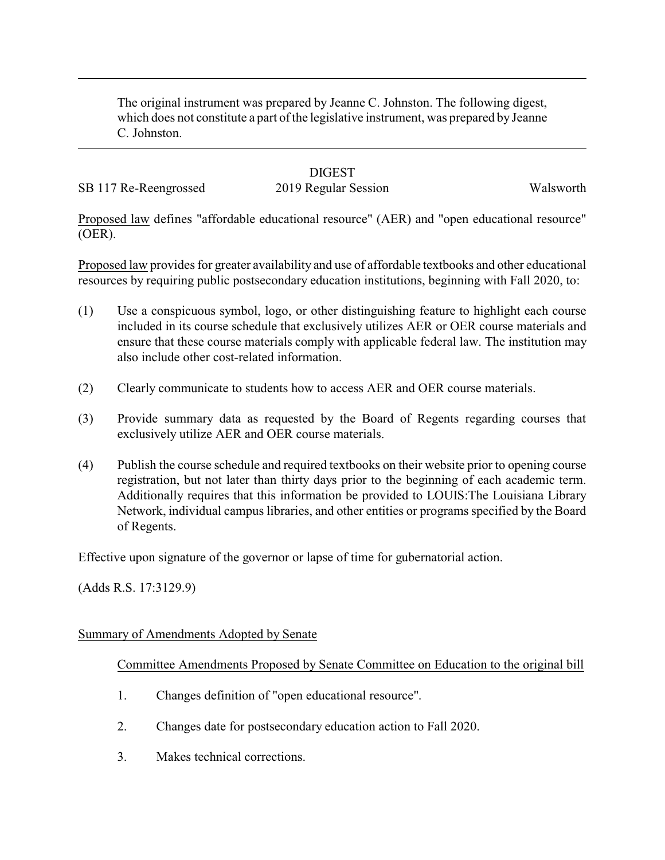The original instrument was prepared by Jeanne C. Johnston. The following digest, which does not constitute a part of the legislative instrument, was prepared by Jeanne C. Johnston.

## **DIGEST**

SB 117 Re-Reengrossed 2019 Regular Session Walsworth

Proposed law defines "affordable educational resource" (AER) and "open educational resource" (OER).

Proposed law provides for greater availability and use of affordable textbooks and other educational resources by requiring public postsecondary education institutions, beginning with Fall 2020, to:

- (1) Use a conspicuous symbol, logo, or other distinguishing feature to highlight each course included in its course schedule that exclusively utilizes AER or OER course materials and ensure that these course materials comply with applicable federal law. The institution may also include other cost-related information.
- (2) Clearly communicate to students how to access AER and OER course materials.
- (3) Provide summary data as requested by the Board of Regents regarding courses that exclusively utilize AER and OER course materials.
- (4) Publish the course schedule and required textbooks on their website prior to opening course registration, but not later than thirty days prior to the beginning of each academic term. Additionally requires that this information be provided to LOUIS:The Louisiana Library Network, individual campus libraries, and other entities or programs specified by the Board of Regents.

Effective upon signature of the governor or lapse of time for gubernatorial action.

(Adds R.S. 17:3129.9)

#### Summary of Amendments Adopted by Senate

#### Committee Amendments Proposed by Senate Committee on Education to the original bill

- 1. Changes definition of "open educational resource".
- 2. Changes date for postsecondary education action to Fall 2020.
- 3. Makes technical corrections.